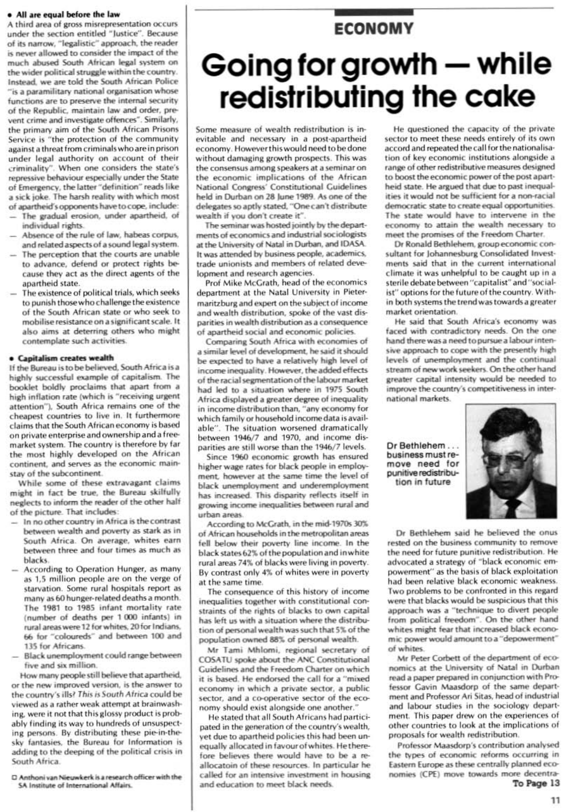#### . All are equal before the law

A third area of gross misrepresentation occurs under the section entitled "Justice". Because of its narrow, "legalistic" approach, the reader is never allowed to consider the impact of the much abused South African legal system on the wider political struggle within the country. Instead, we are told the South African Police "is a paramilitary national organisation whose functions are to preserve the internal security of the Republic, maintain law and order, prevent crime and investigate offences". Similarly, the primary aim of the South African Prisons Service is "the protection of the community against a threat from criminals who are in prison under legal authority on account of their criminality". When one considers the state's repressive behaviour especially under the State of Emergency, the latter "definition" reads like a sick joke. The harsh reality with which most of apartheid's opponents have to cope, include:

- The gradual erosion, under apartheid, of individual rights.
- Absence of the rule of law, habeas corpus, and related aspects of a sound legal system.
- The perception that the courts are unable to advance, defend or protect rights because they act as the direct agents of the apartheid state.
- The existence of political trials, which seeks to punish those who challenge the existence of the South African state or who seek to mobilise resistance on a significant scale. It also aims at deterring others who might contemplate such activities.

### · Capitalism creates wealth

If the Bureau is to be believed. South Africa is a highly successful example of capitalism. The booklet boldly proclaims that apart from a high inflation rate (which is "receiving urgent attention"), South Africa remains one of the cheapest countries to live in. It furthermore claims that the South African economy is based on private enterprise and ownership and a freemarket system. The country is therefore by far the most highly developed on the African continent, and serves as the economic mainstay of the subcontinent.

While some of these extravagant claims might in fact be true, the Bureau skilfully neglects to inform the reader of the other half of the picture. That includes:

- In no other country in Africa is the contrast between wealth and poverty as stark as in South Africa. On average, whites earn between three and four times as much as blacks.
- According to Operation Hunger, as many as 1,5 million people are on the verge of starvation. Some rural hospitals report as many as 60 hunger-related deaths a month. The 1981 to 1985 infant mortality rate (number of deaths per 1 000 infants) in rural areas were 12 for whites, 20 for Indians,

## Going for growth - while redistributing the cake

**ECONOMY** 

Some measure of wealth redistribution is inevitable and necessary in a post-apartheid economy. However this would need to be done without damaging growth prospects. This was the consensus among speakers at a seminar on the economic implications of the African National Congress' Constitutional Guidelines held in Durban on 28 June 1989. As one of the delegates so aptly stated, "One can't distribute wealth if you don't create it".

The seminar was hosted jointly by the departments of economics and industrial sociologists at the University of Natal in Durban, and IDASA. It was attended by business people, academics, trade unionists and members of related development and research agencies.

Prof Mike McGrath, head of the economics department at the Natal University in Pietermaritzburg and expert on the subject of income and wealth distribution, spoke of the vast disparities in wealth distribution as a consequence of apartheid social and economic policies.

Comparing South Africa with economies of a similar level of development, he said it should be expected to have a relatively high level of income inequality. However, the added effects of the racial segmentation of the labour market had led to a situation where in 1975 South Africa displayed a greater degree of inequality in income distribution than, "any economy for which family or household income data is available". The situation worsened dramatically between 1946/7 and 1970, and income disparities are still worse than the 1946/7 levels.

Since 1960 economic growth has ensured higher wage rates for black people in employment, however at the same time the level of black unemployment and underemployment has increased. This disparity reflects itself in growing income inequalities between rural and urban areas.

According to McGrath, in the mid-1970s 30% of African households in the metropolitan areas fell below their poverty line income. In the black states 62% of the population and in white rural areas 74% of blacks were living in poverty. By contrast only 4% of whites were in poverty at the same time.

The consequence of this history of income inequalities together with constitutional constraints of the rights of blacks to own capital has left us with a situation where the distribution of personal wealth was such that 5% of the population owned 88% of personal wealth. Mr Tami Mhlomi, regional secretary of COSATU spoke about the ANC Constitutional Guidelines and the Freedom Charter on which it is based. He endorsed the call for a "mixed economy in which a private sector, a public sector, and a co-operative sector of the economy should exist alongside one another." He stated that all South Africans had participated in the generation of the country's wealth, yet due to apartheid policies this had been unequally allocated in favour of whites. He therefore believes there would have to be a reallocatoin of these resources. In particular he called for an intensive investment in housing and education to meet black needs.

He questioned the capacity of the private sector to meet these needs entirely of its own accord and repeated the call for the nationalisation of key economic institutions alongside a range of other redistributive measures designed to boost the economic power of the post apartheid state. He argued that due to past inequalities it would not be sufficient for a non-racial democratic state to create equal opportunities. The state would have to intervene in the economy to attain the wealth necessary to meet the promises of the Freedom Charter.

Dr Ronald Bethlehem, group economic consultant for Johannesburg Consolidated Investments said that in the current international climate it was unhelpful to be caught up in a sterile debate between "capitalist" and "socialist" options for the future of the country. Within both systems the trend was towards a greater market orientation.

He said that South Africa's economy was faced with contradictory needs. On the one hand there was a need to pursue a labour intensive approach to cope with the presently high levels of unemployment and the continual stream of new work seekers. On the other hand greater capital intensity would be needed to improve the country's competitiveness in international markets.

Dr Bethlehem ... business must remove need for punitive redistribution in future



Dr Bethlehem said he believed the onus rested on the business community to remove the need for future punitive redistribution. He advocated a strategy of "black economic empowerment" as the basis of black exploitation had been relative black economic weakness. Two problems to be confronted in this regard were that blacks would be suspicious that this approach was a "technique to divert people from political freedom". On the other hand whites might fear that increased black economic power would amount to a "depowerment" of whites. Mr Peter Corbett of the department of economics at the University of Natal in Durban read a paper prepared in conjunction with Professor Gavin Maasdorp of the same department and Professor Ari Sitas, head of industrial and labour studies in the sociology department. This paper drew on the experiences of other countries to look at the implications of proposals for wealth redistribution. Professor Maasdorp's contribution analysed the types of economic reforms occurring in Eastern Europe as these centrally planned economies (CPE) move towards more decentra-To Page 13

11

- 66 for "coloureds" and between 100 and 135 for Africans.
- Black unemployment could range between five and six million.

How many people still believe that apartheid, or the new improved version, is the answer to the country's ills? This is South Africa could be viewed as a rather weak attempt at brainwashing, were it not that this glossy product is probably finding its way to hundreds of unsuspecting persons. By distributing these pie-in-thesky fantasies, the Bureau for Information is adding to the deeping of the political crisis in South Africa.

D Anthoni van Nieuwkerk is a research officer with the SA Institute of International Affairs.